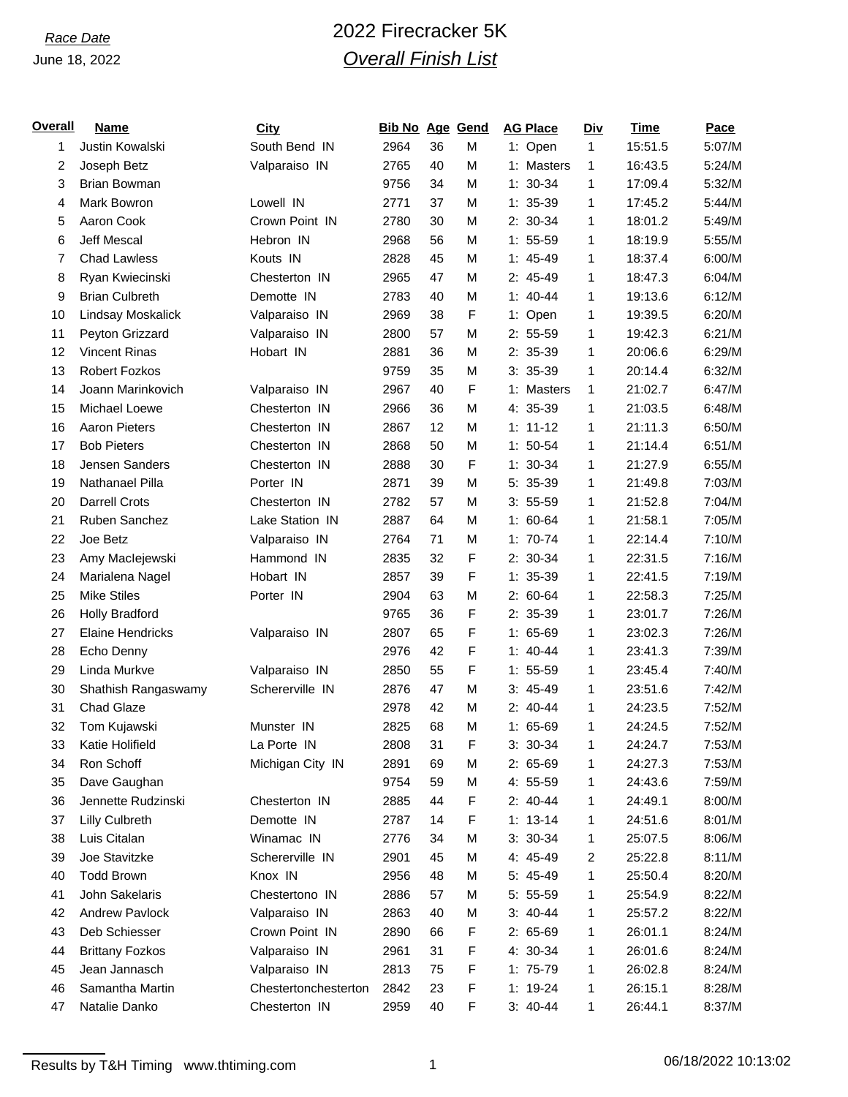# *Race Date* 2022 Firecracker 5K *Overall Finish List*

| <u>Overall</u> | <b>Name</b>             | <b>City</b>          | <b>Bib No Age Gend</b> |    |             | <b>AG Place</b> | <b>Div</b> | <b>Time</b> | Pace   |
|----------------|-------------------------|----------------------|------------------------|----|-------------|-----------------|------------|-------------|--------|
| 1              | Justin Kowalski         | South Bend IN        | 2964                   | 36 | M           | 1: Open         | 1          | 15:51.5     | 5:07/M |
| 2              | Joseph Betz             | Valparaiso IN        | 2765                   | 40 | M           | 1: Masters      | 1          | 16:43.5     | 5:24/M |
| 3              | <b>Brian Bowman</b>     |                      | 9756                   | 34 | M           | $1: 30-34$      | 1          | 17:09.4     | 5:32/M |
| 4              | Mark Bowron             | Lowell IN            | 2771                   | 37 | M           | $1: 35-39$      | 1          | 17:45.2     | 5:44/M |
| 5              | Aaron Cook              | Crown Point IN       | 2780                   | 30 | M           | $2: 30-34$      | 1          | 18:01.2     | 5:49/M |
| 6              | <b>Jeff Mescal</b>      | Hebron IN            | 2968                   | 56 | M           | $1: 55-59$      | 1          | 18:19.9     | 5:55/M |
| 7              | <b>Chad Lawless</b>     | Kouts IN             | 2828                   | 45 | M           | $1: 45-49$      | 1          | 18:37.4     | 6:00/M |
| 8              | Ryan Kwiecinski         | Chesterton IN        | 2965                   | 47 | M           | $2: 45-49$      | 1          | 18:47.3     | 6:04/M |
| 9              | <b>Brian Culbreth</b>   | Demotte IN           | 2783                   | 40 | M           | $1: 40-44$      | 1          | 19:13.6     | 6:12/M |
| 10             | Lindsay Moskalick       | Valparaiso IN        | 2969                   | 38 | F           | 1: Open         | 1          | 19:39.5     | 6:20/M |
| 11             | Peyton Grizzard         | Valparaiso IN        | 2800                   | 57 | M           | $2: 55-59$      | 1          | 19:42.3     | 6:21/M |
| 12             | <b>Vincent Rinas</b>    | Hobart IN            | 2881                   | 36 | M           | $2: 35-39$      | 1          | 20:06.6     | 6:29/M |
| 13             | <b>Robert Fozkos</b>    |                      | 9759                   | 35 | M           | $3: 35-39$      | 1          | 20:14.4     | 6:32/M |
| 14             | Joann Marinkovich       | Valparaiso IN        | 2967                   | 40 | F           | 1: Masters      | 1          | 21:02.7     | 6:47/M |
| 15             | Michael Loewe           | Chesterton IN        | 2966                   | 36 | M           | 4: 35-39        | 1          | 21:03.5     | 6:48/M |
| 16             | Aaron Pieters           | Chesterton IN        | 2867                   | 12 | M           | $1: 11 - 12$    | 1          | 21:11.3     | 6:50/M |
| 17             | <b>Bob Pieters</b>      | Chesterton IN        | 2868                   | 50 | M           | $1: 50-54$      | 1          | 21:14.4     | 6:51/M |
| 18             | Jensen Sanders          | Chesterton IN        | 2888                   | 30 | F           | $1: 30-34$      | 1          | 21:27.9     | 6:55/M |
| 19             | Nathanael Pilla         | Porter IN            | 2871                   | 39 | M           | 5: 35-39        | 1          | 21:49.8     | 7:03/M |
| 20             | <b>Darrell Crots</b>    | Chesterton IN        | 2782                   | 57 | M           | $3: 55-59$      | 1          | 21:52.8     | 7:04/M |
| 21             | Ruben Sanchez           | Lake Station IN      | 2887                   | 64 | M           | $1: 60-64$      | 1          | 21:58.1     | 7:05/M |
| 22             | Joe Betz                | Valparaiso IN        | 2764                   | 71 | M           | $1: 70-74$      | 1          | 22:14.4     | 7:10/M |
| 23             | Amy Maclejewski         | Hammond IN           | 2835                   | 32 | F           | $2: 30-34$      | 1          | 22:31.5     | 7:16/M |
| 24             | Marialena Nagel         | Hobart IN            | 2857                   | 39 | F           | $1: 35-39$      | 1          | 22:41.5     | 7:19/M |
| 25             | <b>Mike Stiles</b>      | Porter IN            | 2904                   | 63 | M           | $2: 60-64$      | 1          | 22:58.3     | 7:25/M |
| 26             | <b>Holly Bradford</b>   |                      | 9765                   | 36 | F           | 2: 35-39        | 1          | 23:01.7     | 7:26/M |
| 27             | <b>Elaine Hendricks</b> | Valparaiso IN        | 2807                   | 65 | F           | $1: 65-69$      | 1          | 23:02.3     | 7:26/M |
| 28             | Echo Denny              |                      | 2976                   | 42 | F           | $1: 40 - 44$    | 1          | 23:41.3     | 7:39/M |
| 29             | Linda Murkve            | Valparaiso IN        | 2850                   | 55 | F           | $1: 55-59$      | 1          | 23:45.4     | 7:40/M |
| 30             | Shathish Rangaswamy     | Schererville IN      | 2876                   | 47 | M           | $3: 45-49$      | 1          | 23:51.6     | 7:42/M |
| 31             | <b>Chad Glaze</b>       |                      | 2978                   | 42 | M           | $2: 40-44$      | 1          | 24:23.5     | 7:52/M |
| 32             | Tom Kujawski            | Munster IN           | 2825                   | 68 | M           | $1: 65-69$      | 1          | 24:24.5     | 7:52/M |
| 33             | Katie Holifield         | La Porte IN          | 2808                   | 31 | $\mathsf F$ | $3: 30-34$      | 1          | 24:24.7     | 7:53/M |
| 34             | Ron Schoff              | Michigan City IN     | 2891                   | 69 | M           | $2: 65-69$      | 1          | 24:27.3     | 7:53/M |
| 35             | Dave Gaughan            |                      | 9754                   | 59 | M           | 4: 55-59        | 1          | 24:43.6     | 7:59/M |
| 36             | Jennette Rudzinski      | Chesterton IN        | 2885                   | 44 | F           | $2: 40-44$      | 1          | 24:49.1     | 8:00/M |
| 37             | <b>Lilly Culbreth</b>   | Demotte IN           | 2787                   | 14 | F           | $1: 13-14$      | 1          | 24:51.6     | 8:01/M |
| 38             | Luis Citalan            | Winamac IN           | 2776                   | 34 | M           | $3: 30-34$      | 1          | 25:07.5     | 8:06/M |
| 39             | Joe Stavitzke           | Schererville IN      | 2901                   | 45 | M           | 4: 45-49        | 2          | 25:22.8     | 8:11/M |
| 40             | <b>Todd Brown</b>       | Knox IN              | 2956                   | 48 | M           | $5: 45-49$      | 1          | 25:50.4     | 8:20/M |
| 41             | John Sakelaris          | Chestertono IN       | 2886                   | 57 | M           | $5: 55-59$      | 1          | 25:54.9     | 8:22/M |
| 42             | Andrew Pavlock          | Valparaiso IN        | 2863                   | 40 | M           | $3: 40-44$      | 1          | 25:57.2     | 8:22/M |
| 43             | Deb Schiesser           | Crown Point IN       | 2890                   | 66 | F           | $2:65-69$       | 1          | 26:01.1     | 8:24/M |
| 44             | <b>Brittany Fozkos</b>  | Valparaiso IN        | 2961                   | 31 | F           | 4: 30-34        | 1          | 26:01.6     | 8:24/M |
| 45             | Jean Jannasch           | Valparaiso IN        | 2813                   | 75 | F           | $1: 75-79$      | 1          | 26:02.8     | 8:24/M |
| 46             | Samantha Martin         | Chestertonchesterton | 2842                   | 23 | F           | $1: 19-24$      | 1          | 26:15.1     | 8:28/M |
| 47             | Natalie Danko           | Chesterton IN        | 2959                   | 40 | F           | $3: 40-44$      | 1          | 26:44.1     | 8:37/M |
|                |                         |                      |                        |    |             |                 |            |             |        |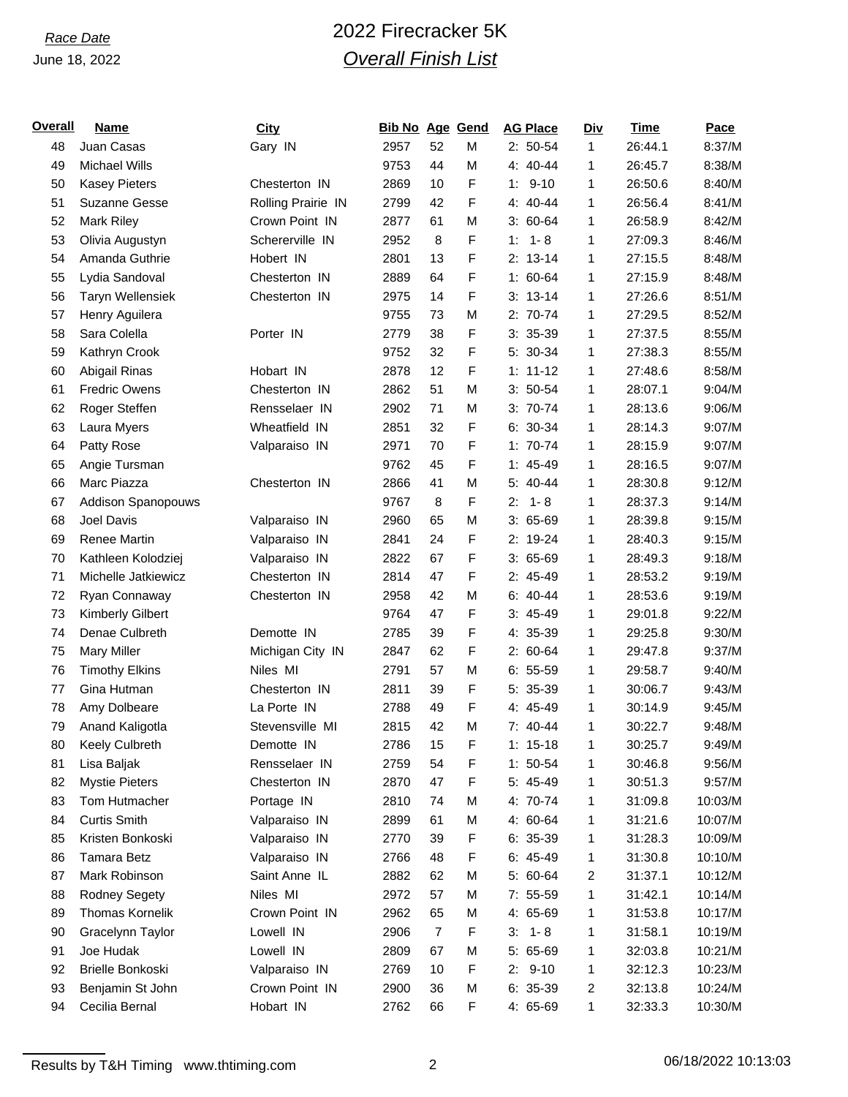# *Race Date* 2022 Firecracker 5K *Overall Finish List*

| <u>Overall</u> | <b>Name</b>               | <b>City</b>        | <b>Bib No Age Gend</b> |                |   | <b>AG Place</b> | <b>Div</b> | Time    | Pace    |
|----------------|---------------------------|--------------------|------------------------|----------------|---|-----------------|------------|---------|---------|
| 48             | Juan Casas                | Gary IN            | 2957                   | 52             | M | $2: 50-54$      | 1          | 26:44.1 | 8:37/M  |
| 49             | Michael Wills             |                    | 9753                   | 44             | M | 4: 40-44        | 1          | 26:45.7 | 8:38/M  |
| 50             | <b>Kasey Pieters</b>      | Chesterton IN      | 2869                   | 10             | F | $9 - 10$<br>1:  | 1          | 26:50.6 | 8:40/M  |
| 51             | <b>Suzanne Gesse</b>      | Rolling Prairie IN | 2799                   | 42             | F | 4: 40-44        | 1          | 26:56.4 | 8:41/M  |
| 52             | Mark Riley                | Crown Point IN     | 2877                   | 61             | M | $3:60-64$       | 1          | 26:58.9 | 8:42/M  |
| 53             | Olivia Augustyn           | Schererville IN    | 2952                   | 8              | F | $1 - 8$<br>1:   | 1          | 27:09.3 | 8:46/M  |
| 54             | Amanda Guthrie            | Hobert IN          | 2801                   | 13             | F | $2: 13-14$      | 1          | 27:15.5 | 8:48/M  |
| 55             | Lydia Sandoval            | Chesterton IN      | 2889                   | 64             | F | $1: 60-64$      | 1          | 27:15.9 | 8:48/M  |
| 56             | Taryn Wellensiek          | Chesterton IN      | 2975                   | 14             | F | $3: 13-14$      | 1          | 27:26.6 | 8:51/M  |
| 57             | Henry Aguilera            |                    | 9755                   | 73             | M | 2: 70-74        | 1          | 27:29.5 | 8:52/M  |
| 58             | Sara Colella              | Porter IN          | 2779                   | 38             | F | $3: 35-39$      | 1          | 27:37.5 | 8:55/M  |
| 59             | Kathryn Crook             |                    | 9752                   | 32             | F | 5: 30-34        | 1          | 27:38.3 | 8:55/M  |
| 60             | Abigail Rinas             | Hobart IN          | 2878                   | 12             | F | $1: 11 - 12$    | 1          | 27:48.6 | 8:58/M  |
| 61             | <b>Fredric Owens</b>      | Chesterton IN      | 2862                   | 51             | M | $3: 50-54$      | 1          | 28:07.1 | 9:04/M  |
| 62             | Roger Steffen             | Rensselaer IN      | 2902                   | 71             | M | $3: 70-74$      | 1          | 28:13.6 | 9:06/M  |
| 63             | Laura Myers               | Wheatfield IN      | 2851                   | 32             | F | $6: 30-34$      | 1          | 28:14.3 | 9:07/M  |
| 64             | Patty Rose                | Valparaiso IN      | 2971                   | 70             | F | $1: 70-74$      | 1          | 28:15.9 | 9:07/M  |
| 65             | Angie Tursman             |                    | 9762                   | 45             | F | $1: 45-49$      | 1          | 28:16.5 | 9:07/M  |
| 66             | Marc Piazza               | Chesterton IN      | 2866                   | 41             | M | 5: 40-44        | 1          | 28:30.8 | 9:12/M  |
| 67             | <b>Addison Spanopouws</b> |                    | 9767                   | 8              | F | 2.<br>$1 - 8$   | 1          | 28:37.3 | 9:14/M  |
| 68             | Joel Davis                | Valparaiso IN      | 2960                   | 65             | M | $3:65-69$       | 1          | 28:39.8 | 9:15/M  |
| 69             | Renee Martin              | Valparaiso IN      | 2841                   | 24             | F | 2: 19-24        | 1          | 28:40.3 | 9:15/M  |
| 70             | Kathleen Kolodziej        | Valparaiso IN      | 2822                   | 67             | F | $3:65-69$       | 1          | 28:49.3 | 9:18/M  |
| 71             | Michelle Jatkiewicz       | Chesterton IN      | 2814                   | 47             | F | 2: 45-49        | 1          | 28:53.2 | 9:19/M  |
| 72             | Ryan Connaway             | Chesterton IN      | 2958                   | 42             | M | $6: 40-44$      | 1          | 28:53.6 | 9:19/M  |
| 73             | Kimberly Gilbert          |                    | 9764                   | 47             | F | $3: 45-49$      | 1          | 29:01.8 | 9:22/M  |
| 74             | Denae Culbreth            | Demotte IN         | 2785                   | 39             | F | 4: 35-39        | 1          | 29:25.8 | 9:30/M  |
| 75             | <b>Mary Miller</b>        | Michigan City IN   | 2847                   | 62             | F | $2: 60-64$      | 1          | 29:47.8 | 9:37/M  |
| 76             | <b>Timothy Elkins</b>     | Niles MI           | 2791                   | 57             | M | $6: 55-59$      | 1          | 29:58.7 | 9:40/M  |
| 77             | Gina Hutman               | Chesterton IN      | 2811                   | 39             | F | 5: 35-39        | 1          | 30:06.7 | 9:43/M  |
| 78             | Amy Dolbeare              | La Porte IN        | 2788                   | 49             | F | 4: 45-49        | 1          | 30:14.9 | 9:45/M  |
| 79             | Anand Kaligotla           | Stevensville MI    | 2815                   | 42             | M | 7: 40-44        | 1          | 30:22.7 | 9:48/M  |
| 80             | Keely Culbreth            | Demotte IN         | 2786                   | 15             | F | $1: 15-18$      | 1          | 30:25.7 | 9:49/M  |
| 81             | Lisa Baljak               | Rensselaer IN      | 2759                   | 54             | F | $1: 50-54$      | 1          | 30:46.8 | 9:56/M  |
| 82             | <b>Mystie Pieters</b>     | Chesterton IN      | 2870                   | 47             | F | 5: 45-49        | 1          | 30:51.3 | 9:57/M  |
| 83             | Tom Hutmacher             | Portage IN         | 2810                   | 74             | M | 4: 70-74        | 1          | 31:09.8 | 10:03/M |
| 84             | <b>Curtis Smith</b>       | Valparaiso IN      | 2899                   | 61             | М | 4: 60-64        | 1          | 31:21.6 | 10:07/M |
| 85             | Kristen Bonkoski          | Valparaiso IN      | 2770                   | 39             | F | $6: 35-39$      | 1          | 31:28.3 | 10:09/M |
| 86             | Tamara Betz               | Valparaiso IN      | 2766                   | 48             | F | $6: 45-49$      | 1          | 31:30.8 | 10:10/M |
| 87             | Mark Robinson             | Saint Anne IL      | 2882                   | 62             | M | 5: 60-64        | 2          | 31:37.1 | 10:12/M |
| 88             | <b>Rodney Segety</b>      | Niles MI           | 2972                   | 57             | M | $7: 55-59$      | 1          | 31:42.1 | 10:14/M |
| 89             | Thomas Kornelik           | Crown Point IN     | 2962                   | 65             | M | 4: 65-69        | 1          | 31:53.8 | 10:17/M |
| 90             | Gracelynn Taylor          | Lowell IN          | 2906                   | $\overline{7}$ | F | $3: 1 - 8$      | 1          | 31:58.1 | 10:19/M |
| 91             | Joe Hudak                 | Lowell IN          | 2809                   | 67             | M | $5:65-69$       | 1          | 32:03.8 | 10:21/M |
| 92             | Brielle Bonkoski          | Valparaiso IN      | 2769                   | 10             | F | $9 - 10$<br>2:  | 1          | 32:12.3 | 10:23/M |
| 93             | Benjamin St John          | Crown Point IN     | 2900                   | 36             | M | $6: 35-39$      | 2          | 32:13.8 | 10:24/M |
| 94             | Cecilia Bernal            | Hobart IN          | 2762                   | 66             | F | 4: 65-69        | 1          | 32:33.3 | 10:30/M |

Results by T&H Timing www.thtiming.com 2 2 06/18/2022 10:13:03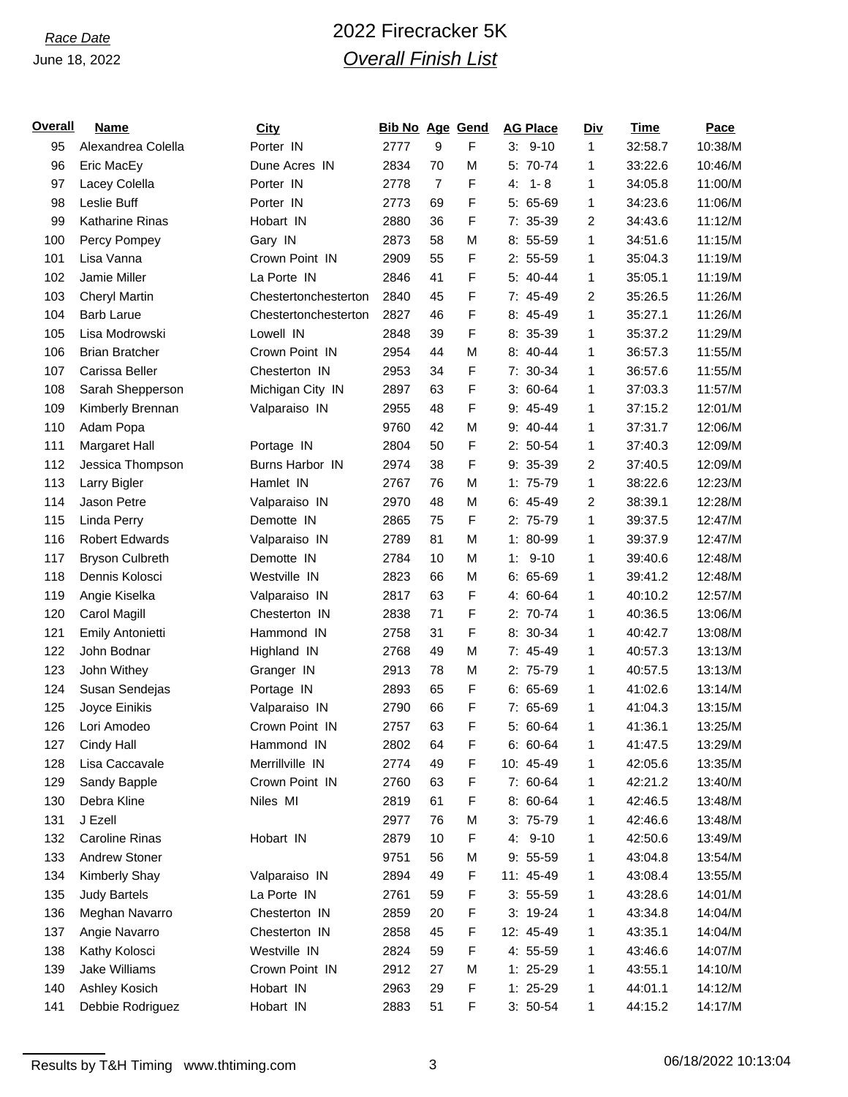# *Race Date* 2022 Firecracker 5K *Overall Finish List*

| <b>Overall</b> | <b>Name</b>             | <b>City</b>          | <b>Bib No Age Gend</b> |                |   | <b>AG Place</b> | <b>Div</b> | <b>Time</b> | <b>Pace</b> |
|----------------|-------------------------|----------------------|------------------------|----------------|---|-----------------|------------|-------------|-------------|
| 95             | Alexandrea Colella      | Porter IN            | 2777                   | 9              | F | $3: 9-10$       | 1          | 32:58.7     | 10:38/M     |
| 96             | Eric MacEy              | Dune Acres IN        | 2834                   | 70             | M | 5: 70-74        | 1          | 33:22.6     | 10:46/M     |
| 97             | Lacey Colella           | Porter IN            | 2778                   | $\overline{7}$ | F | $1 - 8$<br>4.   | 1          | 34:05.8     | 11:00/M     |
| 98             | Leslie Buff             | Porter IN            | 2773                   | 69             | F | $5:65-69$       | 1          | 34:23.6     | 11:06/M     |
| 99             | <b>Katharine Rinas</b>  | Hobart IN            | 2880                   | 36             | F | 7: 35-39        | 2          | 34:43.6     | 11:12/M     |
| 100            | Percy Pompey            | Gary IN              | 2873                   | 58             | M | $8: 55-59$      | 1          | 34:51.6     | 11:15/M     |
| 101            | Lisa Vanna              | Crown Point IN       | 2909                   | 55             | F | $2: 55-59$      | 1          | 35:04.3     | 11:19/M     |
| 102            | Jamie Miller            | La Porte IN          | 2846                   | 41             | F | $5: 40-44$      | 1          | 35:05.1     | 11:19/M     |
| 103            | <b>Cheryl Martin</b>    | Chestertonchesterton | 2840                   | 45             | F | 7: 45-49        | 2          | 35:26.5     | 11:26/M     |
| 104            | <b>Barb Larue</b>       | Chestertonchesterton | 2827                   | 46             | F | 8: 45-49        | 1          | 35:27.1     | 11:26/M     |
| 105            | Lisa Modrowski          | Lowell IN            | 2848                   | 39             | F | 8: 35-39        | 1          | 35:37.2     | 11:29/M     |
| 106            | <b>Brian Bratcher</b>   | Crown Point IN       | 2954                   | 44             | M | $8:40-44$       | 1          | 36:57.3     | 11:55/M     |
| 107            | Carissa Beller          | Chesterton IN        | 2953                   | 34             | F | 7: 30-34        | 1          | 36:57.6     | 11:55/M     |
| 108            | Sarah Shepperson        | Michigan City IN     | 2897                   | 63             | F | $3:60-64$       | 1          | 37:03.3     | 11:57/M     |
| 109            | Kimberly Brennan        | Valparaiso IN        | 2955                   | 48             | F | $9:45-49$       | 1          | 37:15.2     | 12:01/M     |
| 110            | Adam Popa               |                      | 9760                   | 42             | M | $9: 40 - 44$    | 1          | 37:31.7     | 12:06/M     |
| 111            | Margaret Hall           | Portage IN           | 2804                   | 50             | F | $2: 50-54$      | 1          | 37:40.3     | 12:09/M     |
| 112            | Jessica Thompson        | Burns Harbor IN      | 2974                   | 38             | F | $9: 35-39$      | 2          | 37:40.5     | 12:09/M     |
| 113            | Larry Bigler            | Hamlet IN            | 2767                   | 76             | M | $1:75-79$       | 1          | 38:22.6     | 12:23/M     |
| 114            | Jason Petre             | Valparaiso IN        | 2970                   | 48             | M | $6:45-49$       | 2          | 38:39.1     | 12:28/M     |
| 115            | <b>Linda Perry</b>      | Demotte IN           | 2865                   | 75             | F | 2: 75-79        | 1          | 39:37.5     | 12:47/M     |
| 116            | <b>Robert Edwards</b>   | Valparaiso IN        | 2789                   | 81             | M | 1: 80-99        | 1          | 39:37.9     | 12:47/M     |
| 117            | <b>Bryson Culbreth</b>  | Demotte IN           | 2784                   | 10             | M | 1:<br>$9 - 10$  | 1          | 39:40.6     | 12:48/M     |
| 118            | Dennis Kolosci          | Westville IN         | 2823                   | 66             | M | $6:65-69$       | 1          | 39:41.2     | 12:48/M     |
| 119            | Angie Kiselka           | Valparaiso IN        | 2817                   | 63             | F | 4: 60-64        | 1          | 40:10.2     | 12:57/M     |
| 120            | Carol Magill            | Chesterton IN        | 2838                   | 71             | F | 2: 70-74        | 1          | 40:36.5     | 13:06/M     |
| 121            | <b>Emily Antonietti</b> | Hammond IN           | 2758                   | 31             | F | 8: 30-34        | 1          | 40:42.7     | 13:08/M     |
| 122            | John Bodnar             | Highland IN          | 2768                   | 49             | M | $7:45-49$       | 1          | 40:57.3     | 13:13/M     |
| 123            | John Withey             | Granger IN           | 2913                   | 78             | M | 2: 75-79        | 1          | 40:57.5     | 13:13/M     |
| 124            | Susan Sendejas          | Portage IN           | 2893                   | 65             | F | $6: 65-69$      | 1          | 41:02.6     | 13:14/M     |
| 125            | Joyce Einikis           | Valparaiso IN        | 2790                   | 66             | F | $7:65-69$       | 1          | 41:04.3     | 13:15/M     |
| 126            | Lori Amodeo             | Crown Point IN       | 2757                   | 63             | F | 5: 60-64        | 1          | 41:36.1     | 13:25/M     |
| 127            | Cindy Hall              | Hammond IN           | 2802                   | 64             | F | $6: 60 - 64$    | 1          | 41:47.5     | 13:29/M     |
| 128            | Lisa Caccavale          | Merrillville IN      | 2774                   | 49             | F | 10: 45-49       | 1          | 42:05.6     | 13:35/M     |
| 129            | Sandy Bapple            | Crown Point IN       | 2760                   | 63             | F | 7: 60-64        | 1          | 42:21.2     | 13:40/M     |
| 130            | Debra Kline             | Niles MI             | 2819                   | 61             | F | $8:60-64$       | 1          | 42:46.5     | 13:48/M     |
| 131            | J Ezell                 |                      | 2977                   | 76             | M | $3:75-79$       | 1          | 42:46.6     | 13:48/M     |
| 132            | <b>Caroline Rinas</b>   | Hobart IN            | 2879                   | 10             | F | 4: 9-10         | 1          | 42:50.6     | 13:49/M     |
| 133            | Andrew Stoner           |                      | 9751                   | 56             | M | $9: 55-59$      | 1          | 43:04.8     | 13:54/M     |
| 134            | Kimberly Shay           | Valparaiso IN        | 2894                   | 49             | F | 11: 45-49       | 1          | 43:08.4     | 13:55/M     |
| 135            | <b>Judy Bartels</b>     | La Porte IN          | 2761                   | 59             | F | $3: 55-59$      | 1          | 43:28.6     | 14:01/M     |
| 136            | Meghan Navarro          | Chesterton IN        | 2859                   | 20             | F | $3: 19-24$      | 1          | 43:34.8     | 14:04/M     |
| 137            | Angie Navarro           | Chesterton IN        | 2858                   | 45             | F | 12: 45-49       | 1          | 43:35.1     | 14:04/M     |
| 138            | Kathy Kolosci           | Westville IN         | 2824                   | 59             | F | 4: 55-59        | 1          | 43:46.6     | 14:07/M     |
| 139            | Jake Williams           | Crown Point IN       | 2912                   | 27             | M | $1: 25-29$      | 1          | 43:55.1     | 14:10/M     |
| 140            | Ashley Kosich           | Hobart IN            | 2963                   | 29             | F | $1: 25-29$      | 1          | 44:01.1     | 14:12/M     |
| 141            | Debbie Rodriguez        | Hobart IN            | 2883                   | 51             | F | $3: 50-54$      | 1          | 44:15.2     | 14:17/M     |

Results by T&H Timing www.thtiming.com 3 3 3 06/18/2022 10:13:04